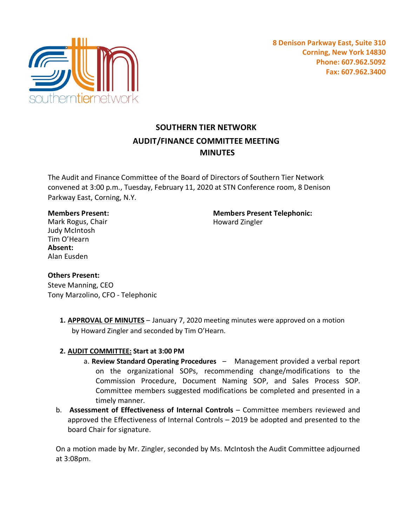

# **SOUTHERN TIER NETWORK AUDIT/FINANCE COMMITTEE MEETING MINUTES**

The Audit and Finance Committee of the Board of Directors of Southern Tier Network convened at 3:00 p.m., Tuesday, February 11, 2020 at STN Conference room, 8 Denison Parkway East, Corning, N.Y.

### **Members Present:**

Mark Rogus, Chair Judy McIntosh Tim O'Hearn **Absent:** Alan Eusden

**Members Present Telephonic:** Howard Zingler

## **Others Present:**

Steve Manning, CEO Tony Marzolino, CFO - Telephonic

> **1. APPROVAL OF MINUTES** – January 7, 2020 meeting minutes were approved on a motion by Howard Zingler and seconded by Tim O'Hearn.

## **2. AUDIT COMMITTEE: Start at 3:00 PM**

- a. **Review Standard Operating Procedures** Management provided a verbal report on the organizational SOPs, recommending change/modifications to the Commission Procedure, Document Naming SOP, and Sales Process SOP. Committee members suggested modifications be completed and presented in a timely manner.
- b. **Assessment of Effectiveness of Internal Controls**  Committee members reviewed and approved the Effectiveness of Internal Controls – 2019 be adopted and presented to the board Chair for signature.

On a motion made by Mr. Zingler, seconded by Ms. McIntosh the Audit Committee adjourned at 3:08pm.